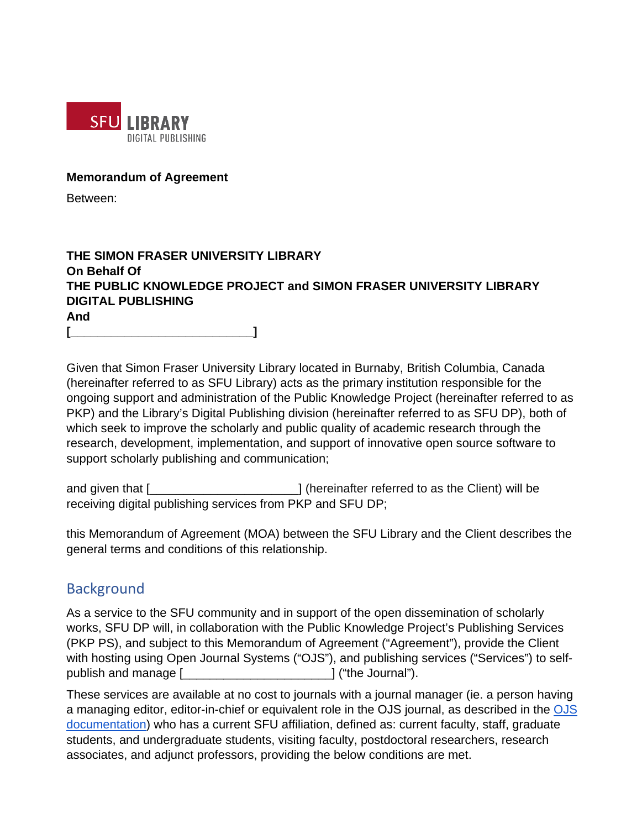

#### **Memorandum of Agreement**

Between:

## **THE SIMON FRASER UNIVERSITY LIBRARY On Behalf Of THE PUBLIC KNOWLEDGE PROJECT and SIMON FRASER UNIVERSITY LIBRARY DIGITAL PUBLISHING And [\_\_\_\_\_\_\_\_\_\_\_\_\_\_\_\_\_\_\_\_\_\_\_\_\_\_\_]**

Given that Simon Fraser University Library located in Burnaby, British Columbia, Canada (hereinafter referred to as SFU Library) acts as the primary institution responsible for the ongoing support and administration of the Public Knowledge Project (hereinafter referred to as PKP) and the Library's Digital Publishing division (hereinafter referred to as SFU DP), both of which seek to improve the scholarly and public quality of academic research through the research, development, implementation, and support of innovative open source software to support scholarly publishing and communication;

and given that [**will continue to a continue the Client** of the Client of the Client) will be receiving digital publishing services from PKP and SFU DP;

this Memorandum of Agreement (MOA) between the SFU Library and the Client describes the general terms and conditions of this relationship.

# **Background**

As a service to the SFU community and in support of the open dissemination of scholarly works, SFU DP will, in collaboration with the Public Knowledge Project's Publishing Services (PKP PS), and subject to this Memorandum of Agreement ("Agreement"), provide the Client with hosting using Open Journal Systems ("OJS"), and publishing services ("Services") to selfpublish and manage [\_\_\_\_\_\_\_\_\_\_\_\_\_\_\_\_\_\_\_\_\_\_] ("the Journal").

These services are available at no cost to journals with a journal manager (ie. a person having a managing editor, editor-in-chief or equivalent role in the OJS journal, as described in the [OJS](https://docs.pkp.sfu.ca/learning-ojs-2/en/available_roles_within_ojs#journal-manager)  [documentation\)](https://docs.pkp.sfu.ca/learning-ojs-2/en/available_roles_within_ojs#journal-manager) who has a current SFU affiliation, defined as: current faculty, staff, graduate students, and undergraduate students, visiting faculty, postdoctoral researchers, research associates, and adjunct professors, providing the below conditions are met.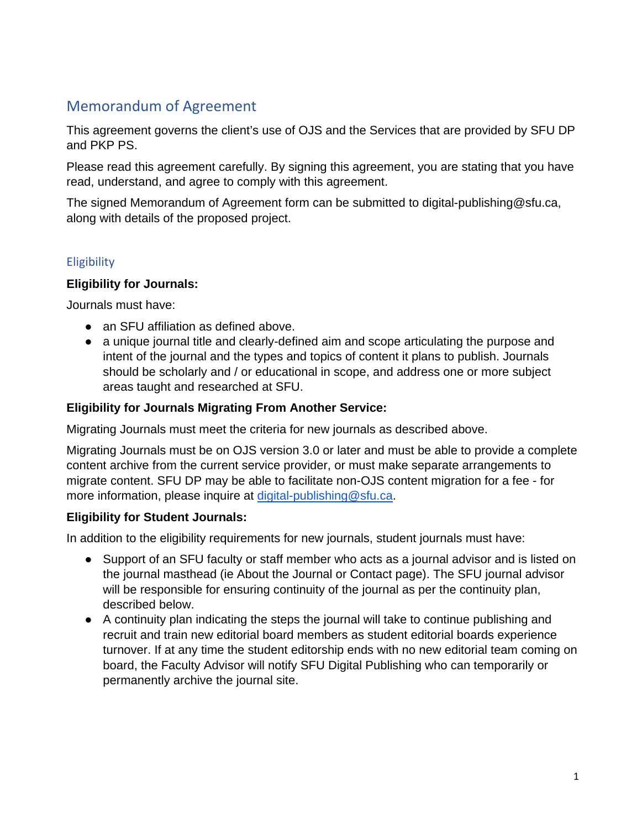# Memorandum of Agreement

This agreement governs the client's use of OJS and the Services that are provided by SFU DP and PKP PS.

Please read this agreement carefully. By signing this agreement, you are stating that you have read, understand, and agree to comply with this agreement.

The signed Memorandum of Agreement form can be submitted to digital-publishing@sfu.ca, along with details of the proposed project.

## **Eligibility**

## **Eligibility for Journals:**

Journals must have:

- an SFU affiliation as defined above.
- a unique journal title and clearly-defined aim and scope articulating the purpose and intent of the journal and the types and topics of content it plans to publish. Journals should be scholarly and / or educational in scope, and address one or more subject areas taught and researched at SFU.

## **Eligibility for Journals Migrating From Another Service:**

Migrating Journals must meet the criteria for new journals as described above.

Migrating Journals must be on OJS version 3.0 or later and must be able to provide a complete content archive from the current service provider, or must make separate arrangements to migrate content. SFU DP may be able to facilitate non-OJS content migration for a fee - for more information, please inquire at [digital-publishing@sfu.ca.](mailto:digital-publishing@sfu.ca)

## **Eligibility for Student Journals:**

In addition to the eligibility requirements for new journals, student journals must have:

- Support of an SFU faculty or staff member who acts as a journal advisor and is listed on the journal masthead (ie About the Journal or Contact page). The SFU journal advisor will be responsible for ensuring continuity of the journal as per the continuity plan, described below.
- A continuity plan indicating the steps the journal will take to continue publishing and recruit and train new editorial board members as student editorial boards experience turnover. If at any time the student editorship ends with no new editorial team coming on board, the Faculty Advisor will notify SFU Digital Publishing who can temporarily or permanently archive the journal site.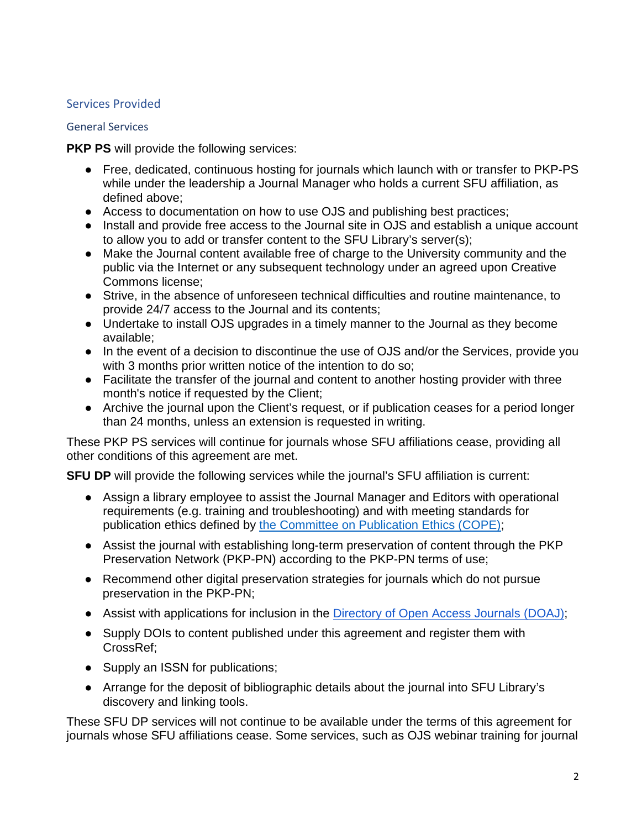## Services Provided

#### General Services

**PKP PS** will provide the following services:

- Free, dedicated, continuous hosting for journals which launch with or transfer to PKP-PS while under the leadership a Journal Manager who holds a current SFU affiliation, as defined above;
- Access to documentation on how to use OJS and publishing best practices;
- Install and provide free access to the Journal site in OJS and establish a unique account to allow you to add or transfer content to the SFU Library's server(s);
- Make the Journal content available free of charge to the University community and the public via the Internet or any subsequent technology under an agreed upon Creative Commons license;
- Strive, in the absence of unforeseen technical difficulties and routine maintenance, to provide 24/7 access to the Journal and its contents;
- Undertake to install OJS upgrades in a timely manner to the Journal as they become available;
- In the event of a decision to discontinue the use of OJS and/or the Services, provide you with 3 months prior written notice of the intention to do so;
- Facilitate the transfer of the journal and content to another hosting provider with three month's notice if requested by the Client;
- Archive the journal upon the Client's request, or if publication ceases for a period longer than 24 months, unless an extension is requested in writing.

These PKP PS services will continue for journals whose SFU affiliations cease, providing all other conditions of this agreement are met.

**SFU DP** will provide the following services while the journal's SFU affiliation is current:

- Assign a library employee to assist the Journal Manager and Editors with operational requirements (e.g. training and troubleshooting) and with meeting standards for publication ethics defined by [the Committee on Publication Ethics \(COPE\);](https://publicationethics.org/)
- Assist the journal with establishing long-term preservation of content through the PKP Preservation Network (PKP-PN) according to the PKP-PN terms of use;
- Recommend other digital preservation strategies for journals which do not pursue preservation in the PKP-PN;
- Assist with applications for inclusion in the [Directory of Open Access Journals \(DOAJ\);](http://doaj.org/)
- Supply DOIs to content published under this agreement and register them with CrossRef;
- Supply an ISSN for publications;
- Arrange for the deposit of bibliographic details about the journal into SFU Library's discovery and linking tools.

These SFU DP services will not continue to be available under the terms of this agreement for journals whose SFU affiliations cease. Some services, such as OJS webinar training for journal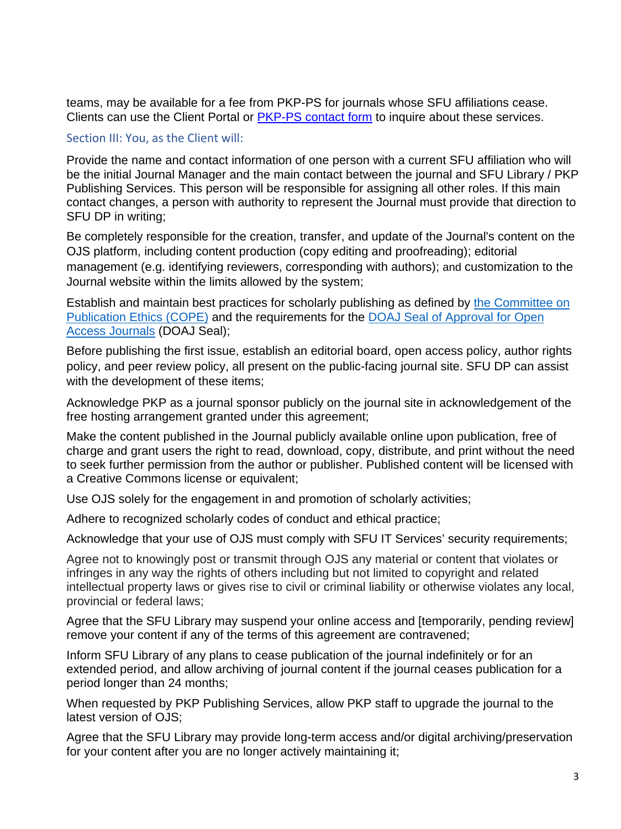teams, may be available for a fee from PKP-PS for journals whose SFU affiliations cease. Clients can use the Client Portal or [PKP-PS contact form](https://pkpservices.sfu.ca/contact/) to inquire about these services.

#### Section III: You, as the Client will:

Provide the name and contact information of one person with a current SFU affiliation who will be the initial Journal Manager and the main contact between the journal and SFU Library / PKP Publishing Services. This person will be responsible for assigning all other roles. If this main contact changes, a person with authority to represent the Journal must provide that direction to SFU DP in writing;

Be completely responsible for the creation, transfer, and update of the Journal's content on the OJS platform, including content production (copy editing and proofreading); editorial management (e.g. identifying reviewers, corresponding with authors); and customization to the Journal website within the limits allowed by the system;

Establish and maintain best practices for scholarly publishing as defined by [the Committee on](https://publicationethics.org/)  [Publication Ethics \(COPE\)](https://publicationethics.org/) and the requirements for the [DOAJ Seal of Approval for Open](https://doaj.org/apply/seal/)  [Access Journals](https://doaj.org/apply/seal/) (DOAJ Seal);

Before publishing the first issue, establish an editorial board, open access policy, author rights policy, and peer review policy, all present on the public-facing journal site. SFU DP can assist with the development of these items;

Acknowledge PKP as a journal sponsor publicly on the journal site in acknowledgement of the free hosting arrangement granted under this agreement;

Make the content published in the Journal publicly available online upon publication, free of charge and grant users the right to read, download, copy, distribute, and print without the need to seek further permission from the author or publisher. Published content will be licensed with a Creative Commons license or equivalent;

Use OJS solely for the engagement in and promotion of scholarly activities;

Adhere to recognized scholarly codes of conduct and ethical practice;

Acknowledge that your use of OJS must comply with SFU IT Services' security requirements;

Agree not to knowingly post or transmit through OJS any material or content that violates or infringes in any way the rights of others including but not limited to copyright and related intellectual property laws or gives rise to civil or criminal liability or otherwise violates any local, provincial or federal laws;

Agree that the SFU Library may suspend your online access and [temporarily, pending review] remove your content if any of the terms of this agreement are contravened;

Inform SFU Library of any plans to cease publication of the journal indefinitely or for an extended period, and allow archiving of journal content if the journal ceases publication for a period longer than 24 months;

When requested by PKP Publishing Services, allow PKP staff to upgrade the journal to the latest version of OJS;

Agree that the SFU Library may provide long-term access and/or digital archiving/preservation for your content after you are no longer actively maintaining it;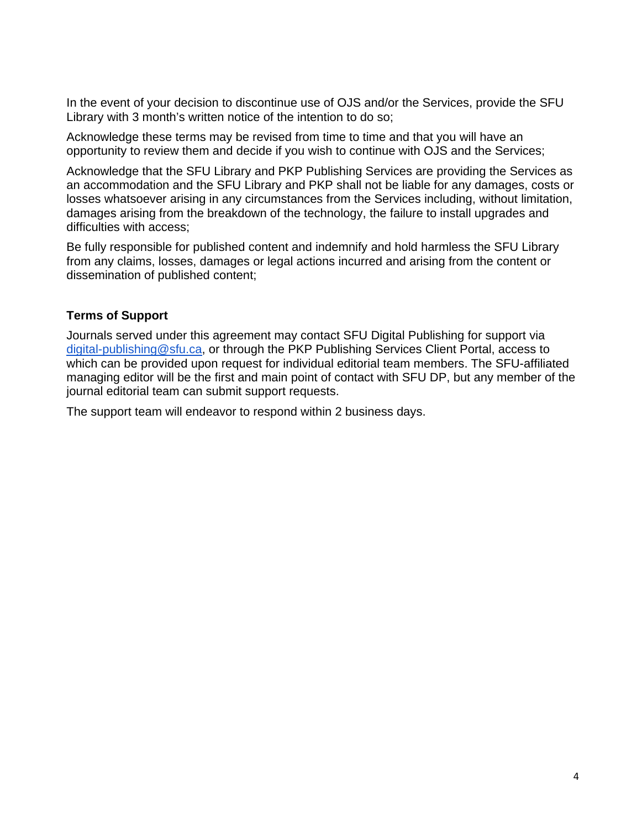In the event of your decision to discontinue use of OJS and/or the Services, provide the SFU Library with 3 month's written notice of the intention to do so;

Acknowledge these terms may be revised from time to time and that you will have an opportunity to review them and decide if you wish to continue with OJS and the Services;

Acknowledge that the SFU Library and PKP Publishing Services are providing the Services as an accommodation and the SFU Library and PKP shall not be liable for any damages, costs or losses whatsoever arising in any circumstances from the Services including, without limitation, damages arising from the breakdown of the technology, the failure to install upgrades and difficulties with access;

Be fully responsible for published content and indemnify and hold harmless the SFU Library from any claims, losses, damages or legal actions incurred and arising from the content or dissemination of published content;

#### **Terms of Support**

Journals served under this agreement may contact SFU Digital Publishing for support via [digital-publishing@sfu.ca,](mailto:digital-publishing@sfu.ca) or through the PKP Publishing Services Client Portal, access to which can be provided upon request for individual editorial team members. The SFU-affiliated managing editor will be the first and main point of contact with SFU DP, but any member of the journal editorial team can submit support requests.

The support team will endeavor to respond within 2 business days.